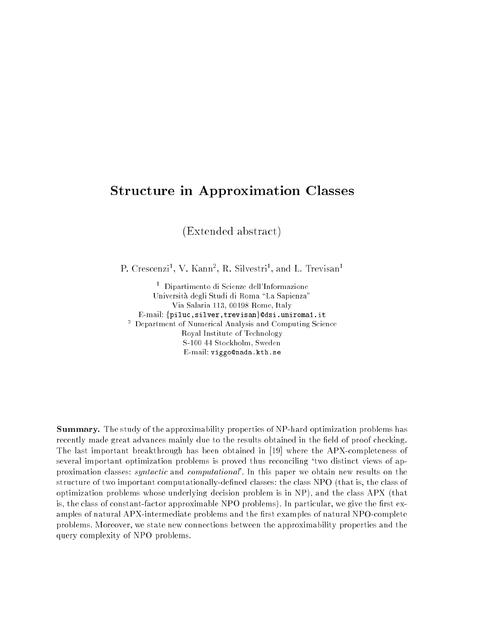# Structure in Approximation Classes

(Extended abstract)

P. Grescenzi V. Kann K. Silvestri and L. Trevisan I

1 Dipartimento di Scienze dell'Informazione Universita degli Studi di Roma \La Sapienza" Via Salaria 113, 00198 Rome, Italy  $E$ -mail: {piluc,silver,trevisan}@dsi.uniroma1.it <sup>2</sup> Department of Numerical Analysis and Computing Science Royal Institute of Technology S-100 44 Stockholm, Sweden E-mail: viggo@nada.kth.se

Summary. The study of the approximability properties of NP-hard optimization problems has recently made great advances mainly due to the results obtained in the field of proof checking. The last important breakthrough has been obtained in [19] where the APX-completeness of several important optimization problems is proved thus reconciling 'two distinct views of approximation classes: *syntactic* and *computational*'. In this paper we obtain new results on the structure of two important computationally-defined classes: the class NPO (that is, the class of optimization problems whose underlying decision problem is in NP), and the class APX (that is, the class of constant-factor approximable NPO problems). In particular, we give the first examples of natural APX-intermediate problems and the first examples of natural NPO-complete problems. Moreover, we state new connections between the approximability properties and the query complexity of NPO problems.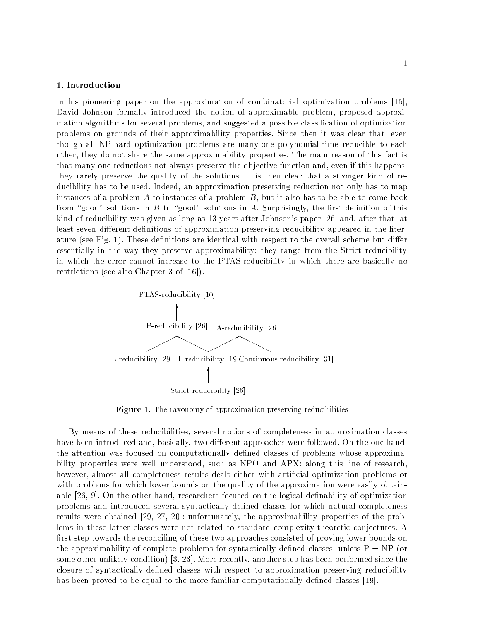#### 1. Introduction

In his pioneering paper on the approximation of combinatorial optimization problems [15], David Johnson formally introduced the notion of approximable problem, proposed approximation algorithms for several problems, and suggested a possible classication of optimization problems on grounds of their approximability properties. Since then it was clear that, even though all NP-hard optimization problems are many-one polynomial-time reducible to each other, they do not share the same approximability properties. The main reason of this fact is that many-one reductions not always preserve the ob jective function and, even if this happens, they rarely preserve the quality of the solutions. It is then clear that a stronger kind of reducibility has to be used. Indeed, an approximation preserving reduction not only has to map instances of a problem  $A$  to instances of a problem  $B$ , but it also has to be able to come back from "good" solutions in B to "good" solutions in A. Surprisingly, the first definition of this kind of reducibility was given as long as 13 years after Johnson's paper [26] and, after that, at least seven different definitions of approximation preserving reducibility appeared in the literature (see Fig. 1). These definitions are identical with respect to the overall scheme but differ essentially in the way they preserve approximability: they range from the Strict reducibility in which the error cannot increase to the PTAS-reducibility in which there are basically no restrictions (see also Chapter 3 of [16]).



Figure 1. The taxonomy of approximation preserving reducibilities

By means of these reducibilities, several notions of completeness in approximation classes have been introduced and, basically, two different approaches were followed. On the one hand, the attention was focused on computationally defined classes of problems whose approximability properties were well understood, such as NPO and APX: along this line of research, however, almost all completeness results dealt either with artificial optimization problems or with problems for which lower bounds on the quality of the approximation were easily obtainable [26, 9]. On the other hand, researchers focused on the logical definability of optimization problems and introduced several syntactically dened classes for which natural completeness results were obtained [29, 27, 20]: unfortunately, the approximability properties of the problems in these latter classes were not related to standard complexity-theoretic conjectures. A first step towards the reconciling of these two approaches consisted of proving lower bounds on the approximability of complete problems for syntactically defined classes, unless  $P = NP$  (or some other unlikely condition) [3, 23]. More recently, another step has been performed since the closure of syntactically defined classes with respect to approximation preserving reducibility has been proved to be equal to the more familiar computationally defined classes [19].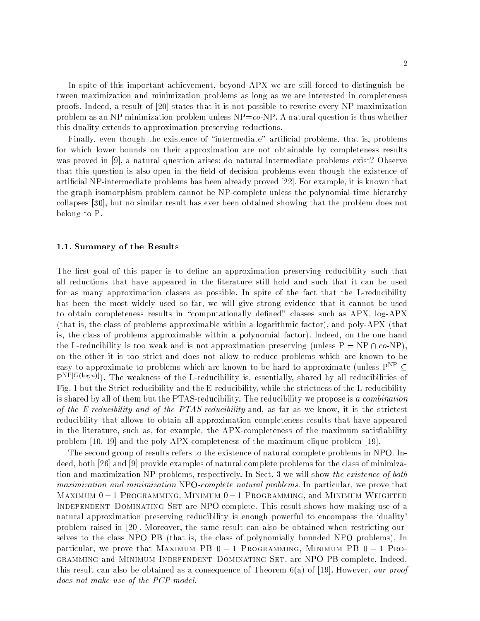In spite of this important achievement, beyond APX we are still forced to distinguish between maximization and minimization problems as long as we are interested in completeness proofs. Indeed, a result of [20] states that it is not possible to rewrite every NP maximization problem as an NP minimization problem unless  $NP = co-NP$ . A natural question is thus whether this duality extends to approximation preserving reductions.

Finally, even though the existence of "intermediate" artificial problems, that is, problems for which lower bounds on their approximation are not obtainable by completeness results was proved in [9], a natural question arises: do natural intermediate problems exist? Observe that this question is also open in the field of decision problems even though the existence of articial NP-intermediate problems has been already proved [22]. For example, it is known that the graph isomorphism problem cannot be NP-complete unless the polynomial-time hierarchy collapses [30], but no similar result has ever been obtained showing that the problem does not belong to P.

#### 1.1. Summary of the Results

The first goal of this paper is to define an approximation preserving reducibility such that all reductions that have appeared in the literature still hold and such that it can be used for as many approximation classes as possible. In spite of the fact that the L-reducibility has been the most widely used so far, we will give strong evidence that it cannot be used to obtain completeness results in "computationally defined" classes such as APX, log-APX (that is, the class of problems approximable within a logarithmic factor), and poly-APX (that is, the class of problems approximable within a polynomial factor). Indeed, on the one hand the L-reducibility is too weak and is not approximation preserving (unless  $P = NP \cap co-NP$ ), on the other it is too strict and does not allow to reduce problems which are known to be easy to approximate to problems which are known to be hard to approximate (unless  $P^{NP}$ )  $P^{NP[O(\log n)]}$ . The weakness of the L-reducibility is, essentially, shared by all reducibilities of Fig. 1 but the Strict reducibility and the E-reducibility, while the strictness of the L-reducibility is shared by all of them but the PTAS-reducibility. The reducibility we propose is a combination of the E-reducibility and of the PTAS-reducibility and, as far as we know, it is the strictest reducibility that allows to obtain all approximation completeness results that have appeared in the literature, such as, for example, the APX-completeness of the maximum satisfiability problem [10, 19] and the poly-APX-completeness of the maximum clique problem [19].

The second group of results refers to the existence of natural complete problems in NPO. Indeed, both [26] and [9] provide examples of natural complete problems for the class of minimization and maximization NP problems, respectively. In Sect. 3 we will show the existence of both maximization and minimization NPO-complete natural problems. In particular, we prove that MAXIMUM  $0-1$  Programming, Minimum  $0-1$  Programming, and Minimum Weighted Independent Dominating Set are NPO-complete. This result shows how making use of a natural approximation preserving reducibility is enough powerful to encompass the `duality' problem raised in [20]. Moreover, the same result can also be obtained when restricting ourselves to the class NPO PB (that is, the class of polynomially bounded NPO problems). In particular, we prove that MAXIMUM PB  $0 - 1$  PROGRAMMING, MINIMUM PB  $0 - 1$  PROgramming and Minimum Independent Dominating Set, are NPO PB-complete. Indeed, this result can also be obtained as a consequence of Theorem  $6(a)$  of [19]. However, our proof does not make use of the PCP model.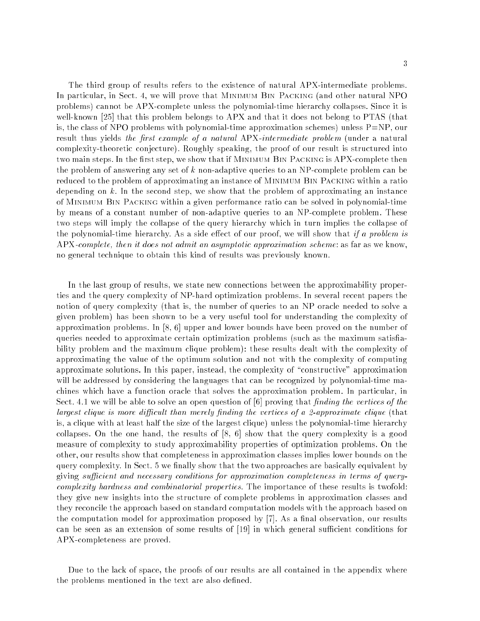The third group of results refers to the existence of natural APX-intermediate problems. In particular, in Sect. 4, we will prove that Minimum Bin Packing (and other natural NPO problems) cannot be APX-complete unless the polynomial-time hierarchy collapses. Since it is well-known [25] that this problem belongs to APX and that it does not belong to PTAS (that is, the class of NPO problems with polynomial-time approximation schemes) unless  $P=NP$ , our result thus yields the first example of a natural APX-intermediate problem (under a natural complexity-theoretic conjecture). Roughly speaking, the proof of our result is structured into two main steps. In the first step, we show that if MINIMUM BIN PACKING is APX-complete then the problem of answering any set of k non-adaptive queries to an NP-complete problem can be reduced to the problem of approximating an instance of MINIMUM BIN PACKING within a ratio depending on  $k$ . In the second step, we show that the problem of approximating an instance of Minimum Bin Packing within a given performance ratio can be solved in polynomial-time by means of a constant number of non-adaptive queries to an NP-complete problem. These two steps will imply the collapse of the query hierarchy which in turn implies the collapse of the polynomial-time hierarchy. As a side effect of our proof, we will show that if a problem is APX-complete, then it does not admit an asymptotic approximation scheme: as far as we know, no general technique to obtain this kind of results was previously known.

In the last group of results, we state new connections between the approximability properties and the query complexity of NP-hard optimization problems. In several recent papers the notion of query complexity (that is, the number of queries to an NP oracle needed to solve a given problem) has been shown to be a very useful tool for understanding the complexity of approximation problems. In [8, 6] upper and lower bounds have been proved on the number of queries needed to approximate certain optimization problems (such as the maximum satisability problem and the maximum clique problem): these results dealt with the complexity of approximating the value of the optimum solution and not with the complexity of computing approximate solutions. In this paper, instead, the complexity of \constructive" approximation will be addressed by considering the languages that can be recognized by polynomial-time machines which have a function oracle that solves the approximation problem. In particular, in Sect. 4.1 we will be able to solve an open question of  $[6]$  proving that *finding the vertices of the* largest clique is more difficult than merely finding the vertices of a 2-approximate clique (that is, a clique with at least half the size of the largest clique) unless the polynomial-time hierarchy collapses. On the one hand, the results of  $[8, 6]$  show that the query complexity is a good measure of complexity to study approximability properties of optimization problems. On the other, our results show that completeness in approximation classes implies lower bounds on the query complexity. In Sect. 5 we finally show that the two approaches are basically equivalent by giving sufficient and necessary conditions for approximation completeness in terms of querycomplexity hardness and combinatorial properties. The importance of these results is twofold: they give new insights into the structure of complete problems in approximation classes and they reconcile the approach based on standard computation models with the approach based on the computation model for approximation proposed by  $[7]$ . As a final observation, our results can be seen as an extension of some results of  $[19]$  in which general sufficient conditions for APX-completeness are proved.

Due to the lack of space, the proofs of our results are all contained in the appendix where the problems mentioned in the text are also defined.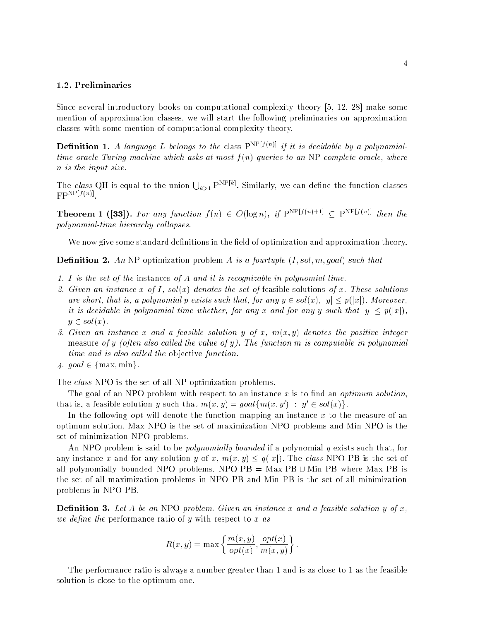#### 1.2. Preliminaries

Since several introductory books on computational complexity theory [5, 12, 28] make some mention of approximation classes, we will start the following preliminaries on approximation classes with some mention of computational complexity theory.

**Definition 1.** A language L belongs to the class  $P^{NP}[f(n)]$  if it is decidable by a polynomialtime oracle Turing machine which asks at most  $f(n)$  queries to an NP-complete oracle, where n is the input size.

The *class* QH is equal to the union  $\bigcup_{k>1} {\rm P}^{\rm NP[k]}$ . Similarly, we can define the function classes  $FP^{NP[f(n)]}.$ 

**Theorem 1 ([33]).** For any function  $f(n) \in O(\log n)$ , if  $P^{NP[f(n)+1]} \subset P^{NP[f(n)]}$  then the polynomial-time hierarchy collapses.

We now give some standard definitions in the field of optimization and approximation theory.

**Definition 2.** An NP optimization problem A is a fourtuple  $(I, sol, m, goal)$  such that

- 1. I is the set of the instances of A and it is recognizable in polynomial time.
- 2. Given an instance x of I, sol(x) denotes the set of feasible solutions of x. These solutions are short, that is, a polynomial p exists such that, for any  $y \in sol(x)$ ,  $|y| < p(|x|)$ . Moreover, it is decidable in polynomial time whether, for any x and for any y such that  $|y| \leq p(|x|)$ ,  $y \in sol(x)$ .
- 3. Given an instance x and a feasible solution y of x,  $m(x, y)$  denotes the positive integer measure of y (often also called the value of y). The function  $m$  is computable in polynomial time and is also called the objective function.
- 4. goal  $\in \{\text{max}, \text{min}\}.$

The *class* NPO is the set of all NP optimization problems.

The goal of an NPO problem with respect to an instance x is to find an *optimum solution*. that is, a feasible solution y such that  $m(x, y) = goal{m(x, y) : y \in sou(x)}$ .

In the following opt will denote the function mapping an instance  $x$  to the measure of an optimum solution. Max NPO is the set of maximization NPO problems and Min NPO is the set of minimization NPO problems.

An NPO problem is said to be *polynomially bounded* if a polynomial  $q$  exists such that, for any instance x and for any solution y of x,  $m(x, y) \leq q(|x|)$ . The class NPO PB is the set of all polynomially bounded NPO problems. NPO  $PB = Max PB \cup Min PB$  where Max PB is the set of all maximization problems in NPO PB and Min PB is the set of all minimization problems in NPO PB.

**Definition 3.** Let A be an NPO problem. Given an instance x and a feasible solution y of x, we define the performance ratio of y with respect to x as

$$
R(x,y) = \max \left\{ \frac{m(x,y)}{opt(x)}, \frac{opt(x)}{m(x,y)} \right\}.
$$

The performance ratio is always a number greater than 1 and is as close to 1 as the feasible solution is close to the optimum one.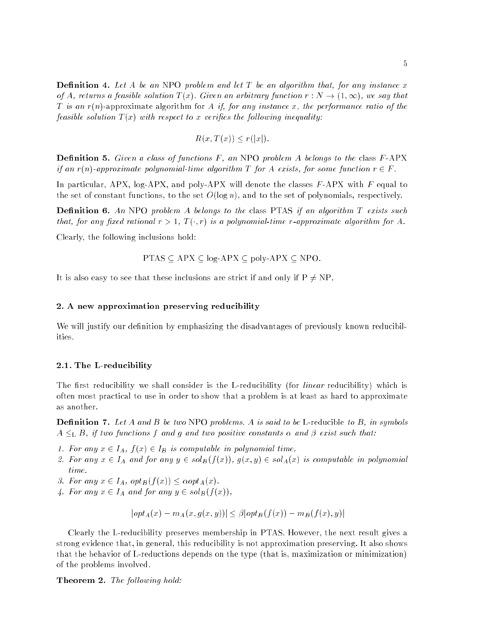**Definition 4.** Let A be an NPO problem and let T be an algorithm that, for any instance x of A, returns a feasible solution  $T(x)$ . Given an arbitrary function  $r : N \to (1,\infty)$ , we say that T is an  $r(n)$ -approximate algorithm for A if, for any instance x, the performance ratio of the feasible solution  $T(x)$  with respect to x verifies the following inequality:

$$
R(x, T(x)) \le r(|x|)
$$

**Definition 5.** Given a class of functions  $F$ , an NPO problem A belongs to the class  $F$ -APX if an  $r(n)$ -approximate polynomial-time algorithm T for A exists, for some function  $r \in F$ .

In particular,  $APX$ , log-APX, and poly-APX will denote the classes  $F$ -APX with  $F$  equal to the set of constant functions, to the set  $O(\log n)$ , and to the set of polynomials, respectively.

**Definition 6.** An NPO problem A belongs to the class PTAS if an algorithm  $T$  exists such that, for any fixed rational  $r > 1$ ,  $T(\cdot, r)$  is a polynomial-time r-approximate algorithm for A.

Clearly, the following inclusions hold:

PTAS 
$$
\subseteq
$$
 APX  $\subseteq$  log-APX  $\subseteq$  poly-APX  $\subseteq$  NPO.

It is also easy to see that these inclusions are strict if and only if  $P \neq NP$ .

#### 2. A new approximation preserving reducibility

We will justify our definition by emphasizing the disadvantages of previously known reducibilities.

#### 2.1. The L-reducibility

The first reducibility we shall consider is the L-reducibility (for *linear* reducibility) which is often most practical to use in order to show that a problem is at least as hard to approximate as another.

**Definition 7.** Let A and B be two NPO problems. A is said to be L-reducible to B, in symbols  $A \leq_L B$ , if two functions f and g and two positive constants  $\alpha$  and  $\beta$  exist such that:

- 1. For any  $x \in I_A$ ,  $f(x) \in I_B$  is computable in polynomial time.
- 2. For any  $x \in I_A$  and for any  $y \in sol_B(f(x))$ ,  $g(x, y) \in sol_A(x)$  is computable in polynomial time.
- 3. For any  $x \in I_A$ ,  $opt_B(f(x)) \leq \alpha opt_A(x)$ .
- 4. For any  $x \in I_A$  and for any  $y \in sol_B(f(x)),$

$$
|opt_A(x) - m_A(x, g(x, y))| \leq \beta |opt_B(f(x)) - m_B(f(x), y)|
$$

Clearly the L-reducibility preserves membership in PTAS. However, the next result gives a strong evidence that, in general, this reducibility is not approximation preserving. It also shows that the behavior of L-reductions depends on the type (that is, maximization or minimization) of the problems involved.

Theorem 2. The following hold: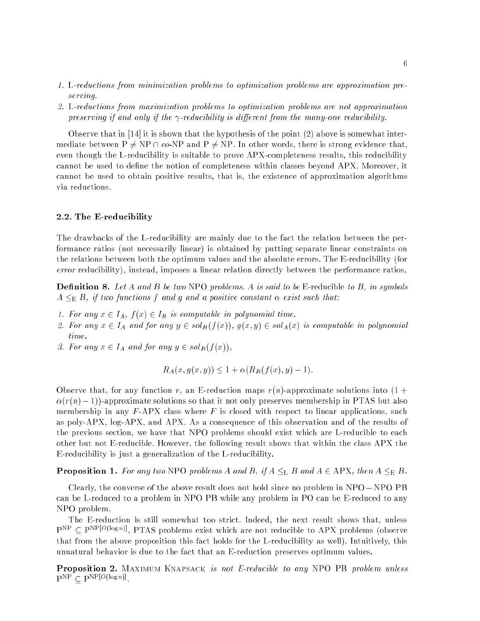- 1. L-reductions from minimization problems to optimization problems are approximation preserving.
- 2. L-reductions from maximization problems to optimization problems are not approximation preserving if and only if the  $\gamma$ -reducibility is different from the many-one reducibility.

Observe that in [14] it is shown that the hypothesis of the point (2) above is somewhat intermediate between P  $\neq$  NP  $\cap$  co-NP and P  $\neq$  NP. In other words, there is strong evidence that, even though the L-reducibility is suitable to prove APX-completeness results, this reducibility cannot be used to define the notion of completeness within classes beyond APX. Moreover, it cannot be used to obtain positive results, that is, the existence of approximation algorithms via reductions.

#### 2.2. The E-reducibility

The drawbacks of the L-reducibility are mainly due to the fact the relation between the performance ratios (not necessarily linear) is obtained by putting separate linear constraints on the relations between both the optimum values and the absolute errors. The E-reducibility (for error reducibility), instead, imposes a linear relation directly between the performance ratios.

**Definition 8.** Let A and B be two NPO problems. A is said to be E-reducible to B, in symbols  $A \leq_{\text{E}} B$ , if two functions f and g and a positive constant  $\alpha$  exist such that:

- 1. For any  $x \in I_A$ ,  $f(x) \in I_B$  is computable in polynomial time.
- 2. For any  $x \in I_A$  and for any  $y \in sol_B(f(x))$ ,  $g(x, y) \in sol_A(x)$  is computable in polynomial time.
- 3. For any  $x \in I_A$  and for any  $y \in sol_B(f(x)),$

$$
R_A(x, g(x, y)) \le 1 + \alpha(R_B(f(x), y) - 1).
$$

Observe that, for any function r, an E-reduction maps  $r(n)$ -approximate solutions into  $(1 +$  $\alpha(r(n) - 1)$ -approximate solutions so that it not only preserves membership in PTAS but also membership in any  $F-APX$  class where F is closed with respect to linear applications, such as poly-APX, log-APX, and APX. As a consequence of this observation and of the results of the previous section, we have that NPO problems should exist which are L-reducible to each other but not E-reducible. However, the following result shows that within the class APX the E-reducibility is just a generalization of the L-reducibility.

**Proposition 1.** For any two NPO problems A and B, if  $A \leq_L B$  and  $A \in APX$ , then  $A \leq_E B$ .

Clearly, the converse of the above result does not hold since no problem in  $NPO - NPO$  PB can be L-reduced to a problem in NPO PB while any problem in PO can be E-reduced to any NPO problem.

The E-reduction is still somewhat too strict. Indeed, the next result shows that, unless  $P^{NP} \subset P^{NP[O(\log n)]}$ , PTAS problems exist which are not reducible to APX problems (observe that from the above proposition this fact holds for the L-reducibility as well). Intuitively, this unnatural behavior is due to the fact that an E-reduction preserves optimum values.

**Proposition 2.** MAXIMUM KNAPSACK is not E-reducible to any NPO PB problem unless  $P^{n} \subset P^{n}$  is the only.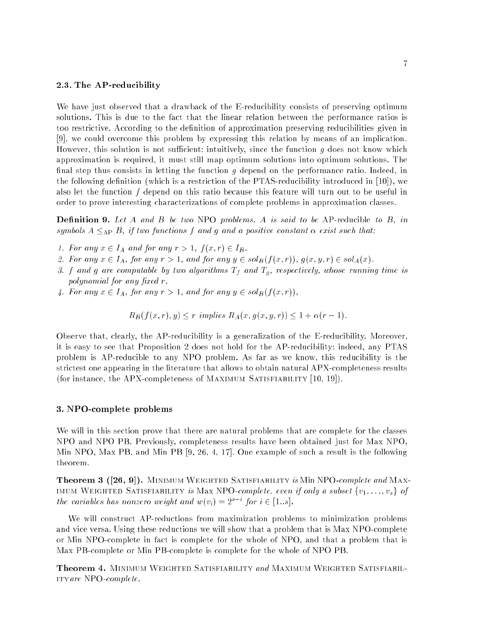#### 2.3. The AP-reducibility

We have just observed that a drawback of the E-reducibility consists of preserving optimum solutions. This is due to the fact that the linear relation between the performance ratios is too restrictive. According to the definition of approximation preserving reducibilities given in [9], we could overcome this problem by expressing this relation by means of an implication. However, this solution is not sufficient: intuitively, since the function  $g$  does not know which approximation is required, it must still map optimum solutions into optimum solutions. The final step thus consists in letting the function  $q$  depend on the performance ratio. Indeed, in the following definition (which is a restriction of the PTAS-reducibility introduced in [10]), we also let the function f depend on this ratio because this feature will turn out to be useful in order to prove interesting characterizations of complete problems in approximation classes.

**Definition 9.** Let A and B be two NPO problems. A is said to be AP-reducible to B, in symbols  $A \leq_{AP} B$ , if two functions f and g and a positive constant  $\alpha$  exist such that:

- 1. For any  $x \in I_A$  and for any  $r > 1$ ,  $f(x, r) \in I_B$ .
- 2. For any  $x \in I_A$ , for any  $r > 1$ , and for any  $y \in sol_B(f(x,r))$ ,  $g(x,y,r) \in sol_A(x)$ .
- 3. f and g are computable by two algorithms  $T_f$  and  $T_g$ , respectively, whose running time is polynomial for any fixed  $r$ .
- 4. For any  $x \in I_A$ , for any  $r > 1$ , and for any  $y \in sol_B(f(x,r))$ ,

 $R_B(f(x, r), y) \leq r \implies R_A(x, q(x, y, r)) \leq 1 + \alpha(r - 1).$ 

Observe that, clearly, the AP-reducibility is a generalization of the E-reducibility. Moreover, it is easy to see that Proposition 2 does not hold for the AP-reducibility: indeed, any PTAS problem is AP-reducible to any NPO problem. As far as we know, this reducibility is the strictest one appearing in the literature that allows to obtain natural APX-completeness results (for instance, the APX-completeness of Maximum Satisfiability [10, 19]).

### 3. NPO-complete problems

We will in this section prove that there are natural problems that are complete for the classes NPO and NPO PB. Previously, completeness results have been obtained just for Max NPO, Min NPO, Max PB, and Min PB [9, 26, 4, 17]. One example of such a result is the following theorem.

Theorem 3 ([26, 9]). MINIMUM WEIGHTED SATISFIABILITY is Min NPO-complete and MAX-IMUM WEIGHTED SATISFIABILITY is Max NPO-complete, even if only a subset  $\{v_1, \ldots, v_s\}$  of the variables has nonzero weight and  $w(v_i) = 2$  for  $i \in [1..s]$ .

We will construct AP-reductions from maximization problems to minimization problems and vice versa. Using these reductions we will show that a problem that is Max NPO-complete or Min NPO-complete in fact is complete for the whole of NPO, and that a problem that is Max PB-complete or Min PB-complete is complete for the whole of NPO PB.

Theorem 4. MINIMUM WEIGHTED SATISFIABILITY and MAXIMUM WEIGHTED SATISFIABILityare NPO-complete.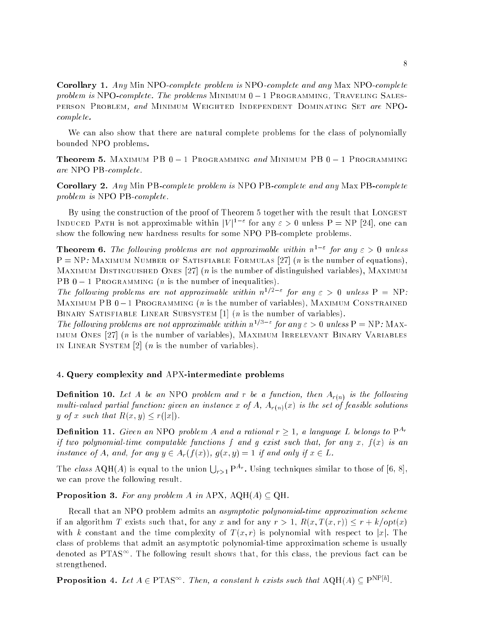Corollary 1. Any Min NPO-complete problem is NPO-complete and any Max NPO-complete problem is NPO-complete. The problems MINIMUM  $0-1$  PROGRAMMING, TRAVELING SALESperson Problem, and Minimum Weighted Independent Dominating Set are NPOcomplete.

We can also show that there are natural complete problems for the class of polynomially bounded NPO problems.

**Theorem 5.** MAXIMUM PB  $0 - 1$  Programming and Minimum PB  $0 - 1$  Programming are NPO PB-complete.

Corollary 2. Any Min PB-complete problem is NPO PB-complete and any Max PB-complete problem is NPO PB-complete.

By using the construction of the proof of Theorem 5 together with the result that LONGEST INDUCED PATH is not approximable within  $|V|^{-\frac{1}{2}}$  for any  $\varepsilon>0$  unless  $P=$  NP [24], one can show the following new hardness results for some NPO PB-complete problems.

**Theorem 6.** The following problems are not approximable within  $n^2$  for any  $\varepsilon > 0$  unless  $P = NP$ : MAXIMUM NUMBER OF SATISFIABLE FORMULAS [27] (*n* is the number of equations), MAXIMUM DISTINGUISHED ONES [27] (*n* is the number of distinguished variables), MAXIMUM PB  $0 - 1$  Programming (*n* is the number of inequalities).

The following problems are not approximable within  $n^{1/2}$  = for any  $\varepsilon > 0$  unless  $P = NP$ : MAXIMUM PB  $0 - 1$  Programming (*n* is the number of variables), MAXIMUM CONSTRAINED BINARY SATISFIABLE LINEAR SUBSYSTEM  $[1]$  (*n* is the number of variables).

The following problems are not approximable within  $n^{2/3}$  for any  $\varepsilon > 0$  unless  $F = NF$ : MAXimum Ones [27] (n is the number of variables), Maximum Irrelevant Binary Variables IN LINEAR SYSTEM  $[2]$  (*n* is the number of variables).

#### 4. Query complexity and APX-intermediate problems

**Definition 10.** Let A be an NPO problem and r be a function, then  $A_{r(n)}$  is the following multi-valued partial function: given an instance x of A,  $A_{r(n)}(x)$  is the set of feasible solutions y of x such that  $R(x, y) \le r(|x|)$ .

**Definition 11.** Given an NPO problem A and a rational  $r > 1$ , a language L belongs to  $P^{A_r}$ if two polynomial-time computable functions f and q exist such that, for any x,  $f(x)$  is an instance of A, and, for any  $y \in A_r(f(x))$ ,  $g(x, y) = 1$  if and only if  $x \in L$ .

The class AQH(A) is equal to the union  $\bigcup_{r>1} P^{A_r}$ . Using techniques similar to those of [6, 8], we can prove the following result.

**Proposition 3.** For any problem A in APX,  $AQH(A) \subseteq QH$ .

Recall that an NPO problem admits an asymptotic polynomial-time approximation scheme if an algorithm T exists such that, for any x and for any  $r > 1$ ,  $R(x, T(x, r)) \le r + k \cdot \{ opt(x) \}$ with k constant and the time complexity of  $T(x, r)$  is polynomial with respect to |x|. The class of problems that admit an asymptotic polynomial-time approximation scheme is usually denoted as PTAST. The following result shows that, for this class, the previous fact can be strengthened.

**Proposition** 4. Let  $A \in P$  TAS<sup>1</sup>. Then, a constant h exists such that  $A\cup B(A) \subseteq P^{n+1}$ .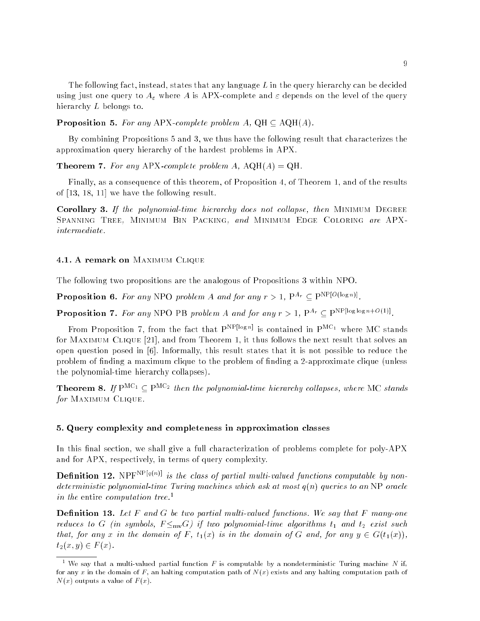The following fact, instead, states that any language  $L$  in the query hierarchy can be decided using just one query to  $A_{\varepsilon}$  where A is APX-complete and  $\varepsilon$  depends on the level of the query hierarchy L belongs to.

**Proposition 5.** For any APX-complete problem A,  $QH \subseteq AQH(A)$ .

By combining Propositions 5 and 3, we thus have the following result that characterizes the approximation query hierarchy of the hardest problems in APX.

**Theorem 7.** For any APX-complete problem A,  $AQH(A) = QH$ .

Finally, as a consequence of this theorem, of Proposition 4, of Theorem 1, and of the results of [13, 18, 11] we have the following result.

Corollary 3. If the polynomial-time hierarchy does not collapse, then MINIMUM DEGREE Spanning Tree, Minimum Bin Packing, and Minimum Edge Coloring are APXintermediate.

#### 4.1. A remark on MAXIMUM CLIQUE

The following two propositions are the analogous of Propositions 3 within NPO.

**Proposition 6.** For any NPO problem A and for any  $r > 1$ ,  $P^{Ar} \subset P^{N+1}$  (108 *n*).

**Proposition** 7. For any NPO PB problem A and for any  $r > 1$ ,  $P^{Ar} \subseteq P^{Ar}$  [log log n+O(1)].

From Proposition 7, from the fact that PNP[log n] is contained in PMC1 where MC stands for Maximum Clique [21], and from Theorem 1, it thus follows the next result that solves an open question posed in [6]. Informally, this result states that it is not possible to reduce the problem of finding a maximum clique to the problem of finding a 2-approximate clique (unless the polynomial-time hierarchy collapses).

**Theorem 8.** If  $\Gamma$   $\Gamma$   $\Gamma$   $\Gamma$  and the polynomial-time hierarchy collapses, where MC stands for MAXIMUM CLIQUE.

#### 5. Query complexity and completeness in approximation classes

In this final section, we shall give a full characterization of problems complete for poly-APX and for APX, respectively, in terms of query complexity.

**Definition 12.** NPF<sup>NP[q(n)]</sup> is the class of partial multi-valued functions computable by nondeterministic polynomial-time Turing machines which ask at most  $q(n)$  queries to an NP oracle in the entire computation tree.<sup>1</sup>

**Definition 13.** Let F and G be two partial multi-valued functions. We say that F many-one reduces to G (in symbols,  $F \leq_{mv} G$ ) if two polynomial-time algorithms  $t_1$  and  $t_2$  exist such that, for any x in the domain of F,  $t_1(x)$  is in the domain of G and, for any  $y \in G(t_1(x))$ ,  $t_2(x, y) \in F(x)$ .

 $^\circ$  We say that a multi-valued partial function  $F$  is computable by a nondeterministic Turing machine IV if, for any x in the domain of F, an halting computation path of  $N(x)$  exists and any halting computation path of  $N(x)$  outputs a value of  $F(x)$ .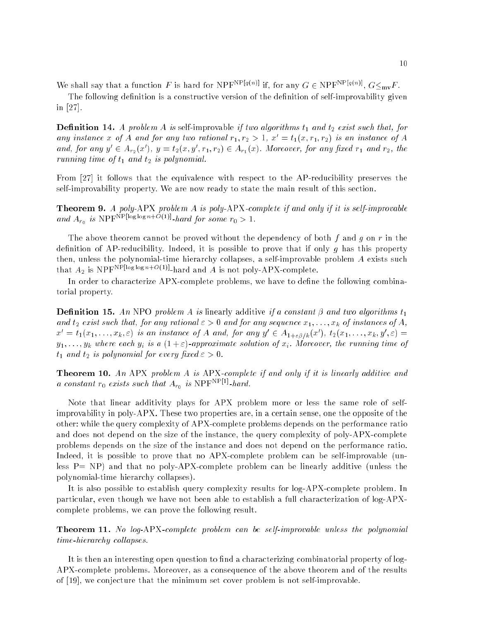We shall say that a function F is hard for NPFNP[q(n)] if, for any G <sup>2</sup> NPFNP[q(n)] , GmvF .

The following definition is a constructive version of the definition of self-improvability given in [27].

**Definition 14.** A problem A is self-improvable if two algorithms  $t_1$  and  $t_2$  exist such that, for any instance x of A and for any two rational  $r_1, r_2 > 1$ ,  $x' = t_1(x, r_1, r_2)$  is an instance of A ana, jor any  $y \in A_{r_2}(x)$  ,  $y = t_2(x, y, r_1, r_2) \in A_{r_1}(x)$ . Moreover, jor any jixed  $r_1$  and  $r_2$ , the running time of  $t_1$  and  $t_2$  is polynomial.

From [27] it follows that the equivalence with respect to the AP-reducibility preserves the self-improvability property. We are now ready to state the main result of this section.

Theorem 9. A poly-APX problem A is poly-APX-complete if and only if it is self-improvable and  $A_{r_0}$  is NPF is set in the nara for some  $r_0 > 1$ .

The above theorem cannot be proved without the dependency of both f and q on r in the definition of AP-reducibility. Indeed, it is possible to prove that if only g has this property then, unless the polynomial-time hierarchy collapses, a self-improvable problem A exists such that  $A_2$  is NPF<sup>NP[log logn+O(1)]</sup>-hard and A is not poly-APX-complete.

In order to characterize APX-complete problems, we have to define the following combinatorial property.

**Definition 15.** An NPO problem A is linearly additive if a constant  $\beta$  and two algorithms  $t_1$ and  $t_2$  exist such that, for any rational  $\varepsilon > 0$  and for any sequence  $x_1, \ldots, x_k$  of instances of A,  $x = t_1(x_1, \ldots, x_k, \varepsilon)$  is an instance of A and, for any  $y \in A_{1+\varepsilon\beta/k}(x)$ ,  $t_2(x_1, \ldots, x_k, y, \varepsilon) =$  $y_1, \ldots, y_k$  where each  $y_i$  is a  $(1+\varepsilon)$ -approximate solution of  $x_i$ . Moreover, the running time of  $t_1$  and  $t_2$  is polynomial for every fixed  $\varepsilon > 0$ .

Theorem 10. An APX problem A is APX-complete if and only if it is linearly additive and a constant  $r_0$  exists such that  $A_{r_0}$  is  $NPT_1$  +  $-$  -hard.

Note that linear additivity plays for APX problem more or less the same role of selfimprovability in poly-APX. These two properties are, in a certain sense, one the opposite of the other: while the query complexity of APX-complete problems depends on the performance ratio and does not depend on the size of the instance, the query complexity of poly-APX-complete problems depends on the size of the instance and does not depend on the performance ratio. Indeed, it is possible to prove that no APX-complete problem can be self-improvable (unless P= NP) and that no poly-APX-complete problem can be linearly additive (unless the polynomial-time hierarchy collapses).

It is also possible to establish query complexity results for log-APX-complete problem. In particular, even though we have not been able to establish a full characterization of log-APXcomplete problems, we can prove the following result.

Theorem 11. No log-APX-complete problem can be self-improvable unless the polynomial time-hierarchy collapses.

It is then an interesting open question to find a characterizing combinatorial property of log-APX-complete problems. Moreover, as a consequence of the above theorem and of the results of [19], we conjecture that the minimum set cover problem is not self-improvable.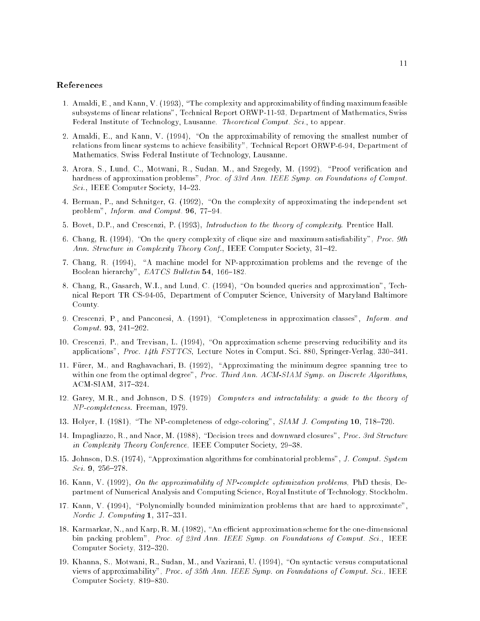#### References

- 1. Amaldi, E., and Kann, V. (1993), "The complexity and approximability of finding maximum feasible subsystems of linear relations", Technical Report ORWP-11-93, Department of Mathematics, Swiss Federal Institute of Technology, Lausanne. Theoretical Comput. Sci., to appear.
- 2. Amaldi, E., and Kann, V. (1994), "On the approximability of removing the smallest number of relations from linear systems to achieve feasibility", Technical Report ORWP-6-94, Department of Mathematics, Swiss Federal Institute of Technology, Lausanne.
- 3. Arora, S., Lund, C., Motwani, R., Sudan, M., and Szegedy, M. (1992), "Proof verification and hardness of approximation problems", Proc. of 33rd Ann. IEEE Symp. on Foundations of Comput.  $Sci.$ , IEEE Computer Society,  $14-23.$
- 4. Berman, P., and Schnitger, G. (1992), "On the complexity of approximating the independent set problem", Inform. and Comput. 96, 77-94.
- 5. Bovet, D.P., and Crescenzi, P. (1993), Introduction to the theory of complexity. Prentice Hall.
- 6. Chang, R. (1994), "On the query complexity of clique size and maximum satisfiability", *Proc. 9th* Ann. Structure in Complexity Theory Conf., IEEE Computer Society, 31-42.
- 7. Chang, R.  $(1994)$ , "A machine model for NP-approximation problems and the revenge of the Boolean hierarchy", EATCS Bulletin 54, 166-182.
- 8. Chang, R., Gasarch, W.I., and Lund, C. (1994), "On bounded queries and approximation", Technical Report TR CS-94-05, Department of Computer Science, University of Maryland Baltimore County.
- 9. Crescenzi, P., and Panconesi, A. (1991), "Completeness in approximation classes", *Inform. and*  $Comput. 93, 241-262.$
- 10. Crescenzi, P., and Trevisan, L. (1994), "On approximation scheme preserving reducibility and its applications", Proc. 14th FSTTCS, Lecture Notes in Comput. Sci. 880, Springer-Verlag, 330-341.
- 11. Furer, M., and Raghavachari, B. (1992), \Approximating the minimum degree spanning tree to within one from the optimal degree", Proc. Third Ann. ACM-SIAM Symp. on Discrete Algorithms, ACM-SIAM, 317-324.
- 12. Garey, M.R., and Johnson, D.S. (1979) Computers and intractability: a guide to the theory of NP-completeness. Freeman, 1979.
- 13. Holyer, I. (1981), "The NP-completeness of edge-coloring", SIAM J. Computing 10, 718-720.
- 14. Impagliazzo, R., and Naor, M. (1988), "Decision trees and downward closures", Proc. 3rd Structure in Complexity Theory Conference, IEEE Computer Society, 29-38.
- 15. Johnson, D.S. (1974), "Approximation algorithms for combinatorial problems", J. Comput. System  $Sci. 9, 256-278.$
- 16. Kann, V. (1992), On the approximability of NP-complete optimization problems, PhD thesis, Department of Numerical Analysis and Computing Science, Royal Institute of Technology, Stockholm.
- 17. Kann, V. (1994), "Polynomially bounded minimization problems that are hard to approximate", Nordic J. Computing  $1, 317-331$ .
- 18. Karmarkar, N., and Karp, R. M. (1982), "An efficient approximation scheme for the one-dimensional bin packing problem", Proc. of 23rd Ann. IEEE Symp. on Foundations of Comput. Sci., IEEE Computer Society, 312-320.
- 19. Khanna, S., Motwani, R., Sudan, M., and Vazirani, U. (1994), \On syntactic versus computational views of approximability", Proc. of 35th Ann. IEEE Symp. on Foundations of Comput. Sci., IEEE Computer Society, 819-830.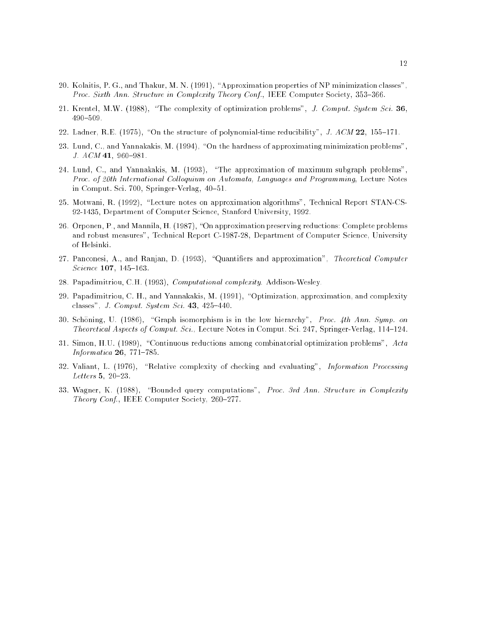- 20. Kolaitis, P. G., and Thakur, M. N. (1991), \Approximation properties of NP minimization classes", Proc. Sixth Ann. Structure in Complexity Theory Conf., IEEE Computer Society, 353-366.
- 21. Krentel, M.W. (1988), "The complexity of optimization problems", J. Comput. System Sci. 36, 490-509.
- 22. Ladner, R.E. (1975), "On the structure of polynomial-time reducibility", J.  $ACM$  22, 155-171.
- 23. Lund, C., and Yannakakis, M.  $(1994)$ , "On the hardness of approximating minimization problems", J.  $A CM$  41, 960-981.
- 24. Lund, C., and Yannakakis, M. (1993), "The approximation of maximum subgraph problems", Proc. of 20th International Colloquium on Automata, Languages and Programming, Lecture Notes in Comput. Sci. 700, Springer-Verlag, 40-51.
- 25. Motwani, R. (1992), "Lecture notes on approximation algorithms", Technical Report STAN-CS-92-1435, Department of Computer Science, Stanford University, 1992.
- 26. Orponen, P., and Mannila, H. (1987), "On approximation preserving reductions: Complete problems and robust measures", Technical Report C-1987-28, Department of Computer Science, University of Helsinki.
- 27. Panconesi, A., and Ranjan, D. (1993), "Quantifiers and approximation", Theoretical Computer Science 107, 145-163.
- 28. Papadimitriou, C.H. (1993), Computational complexity. Addison-Wesley.
- 29. Papadimitriou, C. H., and Yannakakis, M. (1991), "Optimization, approximation, and complexity classes", J. Comput. System Sci.  $43, 425-440$ .
- 30. Schöning, U. (1986), "Graph isomorphism is in the low hierarchy", Proc. 4th Ann. Symp. on Theoretical Aspects of Comput. Sci., Lecture Notes in Comput. Sci. 247, Springer-Verlag, 114-124.
- 31. Simon, H.U. (1989), "Continuous reductions among combinatorial optimization problems", Acta Informatica  $26$ ,  $771-785$ .
- 32. Valiant, L. (1976), "Relative complexity of checking and evaluating", Information Processing Letters  $5, 20-23.$
- 33. Wagner, K. (1988), "Bounded query computations", Proc. 3rd Ann. Structure in Complexity Theory Conf., IEEE Computer Society, 260-277.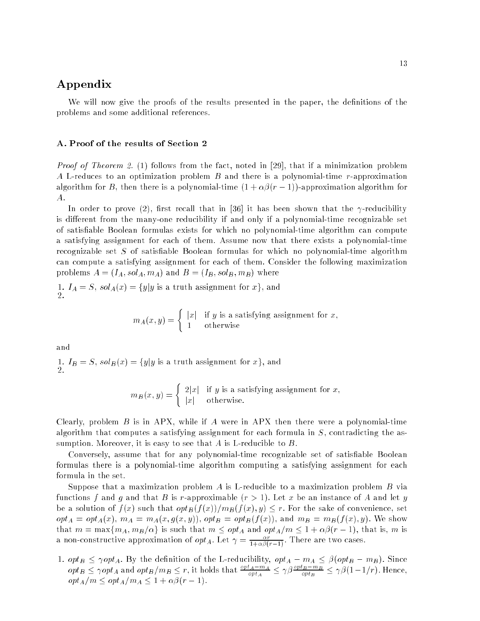# Appendix

We will now give the proofs of the results presented in the paper, the definitions of the problems and some additional references.

#### A. Proof of the results of Section 2

*Proof of Theorem 2.* (1) follows from the fact, noted in [29], that if a minimization problem A L-reduces to an optimization problem B and there is a polynomial-time r-approximation algorithm for B, then there is a polynomial-time  $(1 + \alpha\beta(r - 1))$ -approximation algorithm for A.

In order to prove (2), first recall that in [36] it has been shown that the  $\gamma$ -reducibility is different from the many-one reducibility if and only if a polynomial-time recognizable set of satisable Boolean formulas exists for which no polynomial-time algorithm can compute a satisfying assignment for each of them. Assume now that there exists a polynomial-time recognizable set  $S$  of satisfiable Boolean formulas for which no polynomial-time algorithm can compute a satisfying assignment for each of them. Consider the following maximization problems  $A = (I_A, sol_A, m_A)$  and  $B = (I_B, sol_B, m_B)$  where 1.  $I_A = S$ ,  $sol_A(x) = \{y|y \text{ is a truth assignment for } x\}$ , and

$$
m_A(x,y) = \begin{cases} |x| & \text{if } y \text{ is a satisfying assignment for } x, \\ 1 & \text{otherwise} \end{cases}
$$

and

1.  $I_B = S$ ,  $sol_B(x) = \{y|y \text{ is a truth assignment for } x\}$ , and

$$
m_B(x,y) = \begin{cases} 2|x| & \text{if } y \text{ is a satisfying assignment for } x, \\ |x| & \text{otherwise.} \end{cases}
$$

Clearly, problem  $B$  is in APX, while if  $A$  were in APX then there were a polynomial-time algorithm that computes a satisfying assignment for each formula in  $S$ , contradicting the assumption. Moreover, it is easy to see that  $A$  is L-reducible to  $B$ .

Conversely, assume that for any polynomial-time recognizable set of satisfiable Boolean formulas there is a polynomial-time algorithm computing a satisfying assignment for each formula in the set.

Suppose that a maximization problem A is L-reducible to a maximization problem B via functions f and g and that B is r-approximable  $(r > 1)$ . Let x be an instance of A and let y be a solution of  $f(x)$  such that  $opt_B(f(x))/m_B(f(x), y) \leq r$ . For the sake of convenience, set  $opt_A = opt_A(x)$ ,  $m_A = m_A(x, g(x, y))$ ,  $opt_B = opt_B(f(x))$ , and  $m_B = m_B(f(x), y)$ . We show that maximalize  $\Box$  may be interested to the maximal optation of  $\Box$  is much interested that is, much is is, much is, much is, much is, much is, much is, much is, much is, much is, much is, much is, much is, much is, mu a non-constructive approximation of  $\mathit{opt}_A$ . Let  $\gamma = \frac{1}{1+\alpha\beta(r-1)}$ . There are two cases.

 $opt_B \le \gamma opt_A$  and  $opt_B/m_B \le r$ , it holds that  $\frac{opt_A - m_A}{opt_A} \le \gamma \beta \frac{opt_B - m_B}{opt_B} \le \gamma \beta (1 - 1/r)$ . Hence,  $opt_A/m \le opt_A/m_A \le 1 + \alpha\beta(r - 1).$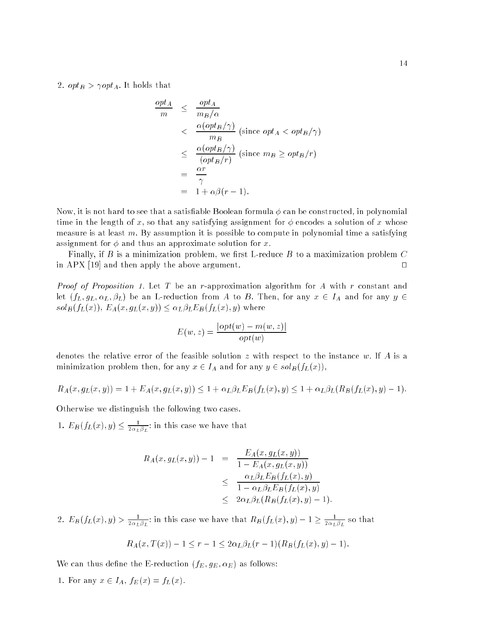2.  $opt_B > \gamma opt_A$ . It holds that

$$
\frac{opt_A}{m} \leq \frac{opt_A}{m_B/\alpha}
$$
\n
$$
\leq \frac{\alpha(opt_B/\gamma)}{m_B} \text{ (since } opt_A < opt_B/\gamma\text{)}
$$
\n
$$
\leq \frac{\alpha(opt_B/\gamma)}{(opt_B/r)} \text{ (since } m_B \geq opt_B/r\text{)}
$$
\n
$$
= \frac{\alpha r}{\gamma}
$$
\n
$$
= 1 + \alpha\beta(r - 1).
$$

Now, it is not hard to see that a satisfiable Boolean formula  $\phi$  can be constructed, in polynomial time in the length of x, so that any satisfying assignment for  $\phi$  encodes a solution of x whose measure is at least  $m$ . By assumption it is possible to compute in polynomial time a satisfying assignment for  $\phi$  and thus an approximate solution for x.

Finally, if  $B$  is a minimization problem, we first L-reduce  $B$  to a maximization problem  $C$ in APX [19] and then apply the above argument.  $\square$ 

*Proof of Proposition 1.* Let T be an r-approximation algorithm for A with r constant and let  $(f_L, g_L, \alpha_L, \beta_L)$  be an L-reduction from A to B. Then, for any  $x \in I_A$  and for any  $y \in$  $sol_B(f_L(x)), E_A(x, g_L(x, y)) \leq \alpha_L \beta_L E_B(f_L(x), y)$  where

$$
E(w, z) = \frac{|opt(w) - m(w, z)|}{opt(w)}
$$

denotes the relative error of the feasible solution  $z$  with respect to the instance  $w$ . If  $A$  is a minimization problem then, for any  $x \in I_A$  and for any  $y \in sol_B(f_L(x)),$ 

$$
R_A(x, g_L(x, y)) = 1 + E_A(x, g_L(x, y)) \le 1 + \alpha_L \beta_L E_B(f_L(x), y) \le 1 + \alpha_L \beta_L (R_B(f_L(x), y) - 1).
$$

Otherwise we distinguish the following two cases.

1.  $E_B(JL(x), y) \leq \frac{1}{2\alpha_L \beta_L}$ : In this case we have that

$$
R_A(x, g_L(x, y)) - 1 = \frac{E_A(x, g_L(x, y))}{1 - E_A(x, g_L(x, y))}
$$
  
\n
$$
\leq \frac{\alpha_L \beta_L E_B(f_L(x), y)}{1 - \alpha_L \beta_L E_B(f_L(x), y)}
$$
  
\n
$$
\leq 2\alpha_L \beta_L (R_B(f_L(x), y) - 1).
$$

2.  $E_B(J_L(x), y) > \frac{1}{2\alpha_L \beta_L}$ : in this case we have that  $R_B(J_L(x), y) = 1 \ge \frac{1}{2\alpha_L \beta_L}$  so that

$$
R_A(x, T(x)) - 1 \le r - 1 \le 2\alpha_L \beta_L(r - 1)(R_B(f_L(x), y) - 1).
$$

We can thus define the E-reduction  $(f_E, g_E, \alpha_E)$  as follows:

1. For any  $x \in I_A$ ,  $f_E(x) = f_L(x)$ .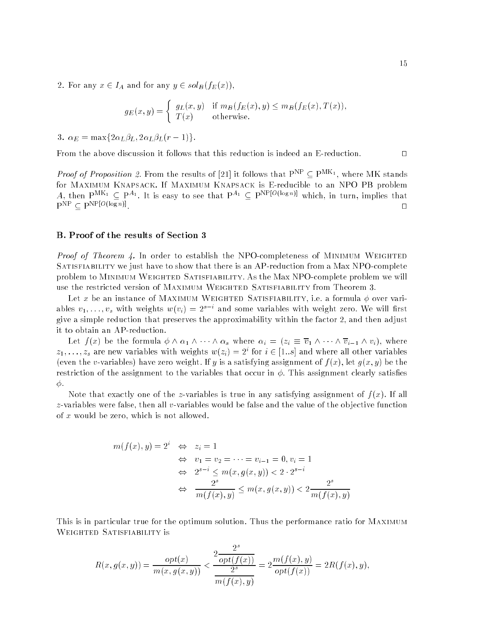2. For any  $x \in I_A$  and for any  $y \in sol_B(f_E(x)),$ 

$$
g_E(x, y) = \begin{cases} g_L(x, y) & \text{if } m_B(f_E(x), y) \le m_B(f_E(x), T(x)), \\ T(x) & \text{otherwise.} \end{cases}
$$

3.  $\alpha_E = \max\{2\alpha_L\beta_L, 2\alpha_L\beta_L(r-1)\}.$ 

From the above discussion it follows that this reduction is indeed an E-reduction.

*Proof of Proposition 2*. From the results of [21] it follows that  $P^{\text{max}} \subseteq P^{\text{max}}$ , where MK stands for Maximum Knapsack. If Maximum Knapsack is E-reducible to an NPO PB problem A, then  $P_1 \subseteq P_1$  is easy to see that  $P_1 \subseteq P_1 \subseteq P_2$  which, in turn, implies that  $P^{NP} \subset P^{NP[O(\log n)]}.$ 

#### B. Proof of the results of Section 3

*Proof of Theorem 4.* In order to establish the NPO-completeness of MINIMUM WEIGHTED Satisfiability we just have to show that there is an AP-reduction from a Max NPO-complete problem to Minimum Weighted Satisfiability. As the Max NPO-complete problem we will use the restricted version of Maximum Weighted Satisfiability from Theorem 3.

Let x be an instance of MAXIMUM WEIGHTED SATISFIABILITY, i.e. a formula  $\phi$  over variables  $v_1, \ldots, v_s$  with weights  $w(v_i) = z^*$  and some variables with weight zero. We will lifst give a simple reduction that preserves the approximability within the factor 2, and then adjust it to obtain an AP-reduction.

Let  $f(x)$  be the formula  $\phi \wedge \alpha_1 \wedge \cdots \wedge \alpha_s$  where  $\alpha_i = (z_i \equiv \overline{v}_1 \wedge \cdots \wedge \overline{v}_{i-1} \wedge v_i)$ , where  $z_1,\ldots,z_s$  are new variables with weights  $w(z_i) = z$  for  $i \in [1..s]$  and where all other variables (even the v-variables) have zero weight. If y is a satisfying assignment of  $f(x)$ , let  $g(x, y)$  be the restriction of the assignment to the variables that occur in  $\phi$ . This assignment clearly satisfies  $\phi$ .

Note that exactly one of the z-variables is true in any satisfying assignment of  $f(x)$ . If all  $z$ -variables were false, then all v-variables would be false and the value of the objective function of x would be zero, which is not allowed.

$$
m(f(x), y) = 2i \Leftrightarrow zi = 1
$$
  
\n
$$
\Leftrightarrow v_1 = v_2 = \dots = v_{i-1} = 0, v_i = 1
$$
  
\n
$$
\Leftrightarrow 2s-i \le m(x, g(x, y)) < 2 \cdot 2s-i
$$
  
\n
$$
\Leftrightarrow \frac{2s}{m(f(x), y)} \le m(x, g(x, y)) < 2\frac{2s}{m(f(x), y)}
$$

This is in particular true for the optimum solution. Thus the performance ratio for Maximum WEIGHTED SATISFIABILITY is

$$
R(x, g(x, y)) = \frac{opt(x)}{m(x, g(x, y))} < \frac{\frac{2}{2}opt(f(x))}{\frac{2^s}{2}} = 2\frac{m(f(x), y)}{opt(f(x))} = 2R(f(x), y),
$$

 $\Box$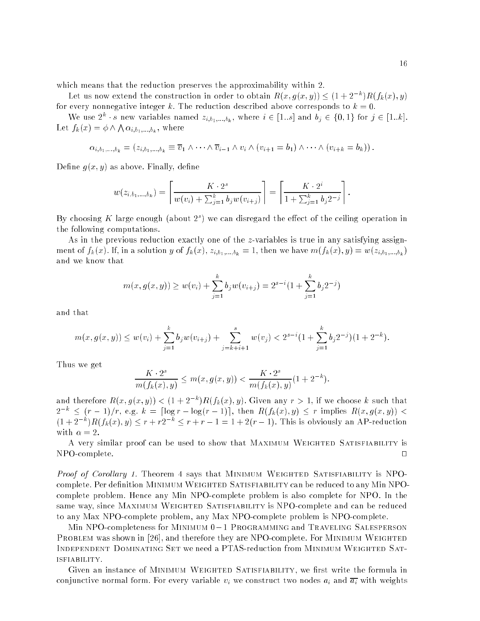which means that the reduction preserves the approximability within 2.

Let us now extend the construction in order to obtain  $R(x, g(x, y)) \le (1 + 2 \pi) R(f_k(x), y)$ for every nonnegative integer k. The reduction described above corresponds to  $k = 0$ .

We use 2  $\cdot$  s new variables named  $z_{i,b_1,...,b_k}$ , where  $i \in [1..s]$  and  $v_j \in \{0,1\}$  for  $j \in [1..k]$ . Let  $f_k(x) = \phi \wedge \bigwedge \alpha_{i,b_1,...,b_k},$  where

$$
\alpha_{i,b_1,\ldots,b_k} = (z_{i,b_1,\ldots,b_k} \equiv \overline{v}_1 \wedge \cdots \wedge \overline{v}_{i-1} \wedge v_i \wedge (v_{i+1} = b_1) \wedge \cdots \wedge (v_{i+k} = b_k)).
$$

Define  $g(x, y)$  as above. Finally, define

$$
w(z_{i,b_1,...,b_k}) = \left\lceil \frac{K \cdot 2^s}{w(v_i) + \sum_{j=1}^k b_j w(v_{i+j})} \right\rceil = \left\lceil \frac{K \cdot 2^i}{1 + \sum_{j=1}^k b_j 2^{-j}} \right\rceil.
$$

 ${\bf D}$ y choosing  ${\bf R}$  large enough (about  $Z$  ) we can disregard the enect of the ceiling operation in the following computations.

As in the previous reduction exactly one of the z-variables is true in any satisfying assignment of  $f_k(x)$ . If, in a solution y of  $f_k(x)$ ,  $z_{i,b_1,...,b_k} = 1$ , then we have  $m(f_k(x), y) = w(z_{i,b_1,...,b_k})$ and we know that

$$
m(x, g(x, y)) \ge w(v_i) + \sum_{j=1}^{k} b_j w(v_{i+j}) = 2^{s-i} \left(1 + \sum_{j=1}^{k} b_j 2^{-j}\right)
$$

and that

$$
m(x,g(x,y)) \le w(v_i) + \sum_{j=1}^k b_j w(v_{i+j}) + \sum_{j=k+i+1}^s w(v_j) < 2^{s-i} \left(1 + \sum_{j=1}^k b_j 2^{-j}\right) \left(1 + 2^{-k}\right).
$$

Thus we get

$$
\frac{K \cdot 2^s}{m(f_k(x), y)} \le m(x, g(x, y)) < \frac{K \cdot 2^s}{m(f_k(x), y)} (1 + 2^{-k}).
$$

and therefore  $R(x, g(x, y)) < (1 + 2^{-k})R(f_k(x), y)$ . Given any  $r > 1$ , if we choose k such that ) refine  $\{f,g\}$  . Finite any r  $\{f,g\}$  is the choose  $\{f,g\}$  $2 \leq k \leq (r-1)/r$ , e.g.  $k = \lfloor \log r - \log(r-1) \rfloor$ , then  $R(f_k(x), y) \leq r$  implies  $R(x, g(x, y)) \leq r$  $(1 + 2\gamma)R(f_k(x), y) \leq r + rz \leq r + r - 1 = 1 + 2(r - 1)$ . This is obviously an AP-reduction with  $\alpha = 2$ .

A very similar proof can be used to show that Maximum Weighted Satisfiability is  $NPO-complete.$ 

Proof of Corollary 1. Theorem 4 says that MINIMUM WEIGHTED SATISFIABILITY is NPOcomplete. Per definition MINIMUM WEIGHTED SATISFIABILITY can be reduced to any Min NPOcomplete problem. Hence any Min NPO-complete problem is also complete for NPO. In the same way, since MAXIMUM WEIGHTED SATISFIABILITY is NPO-complete and can be reduced to any Max NPO-complete problem, any Max NPO-complete problem is NPO-complete.

Min NPO-completeness for MINIMUM  $0-1$  Programming and Traveling Salesperson PROBLEM was shown in [26], and therefore they are NPO-complete. For MINIMUM WEIGHTED Independent Dominating Set we need a PTAS-reduction from Minimum Weighted Satisfiability.

Given an instance of MINIMUM WEIGHTED SATISFIABILITY, we first write the formula in conjunctive normal form. For every variable  $v_i$  we construct two nodes  $a_i$  and  $\overline{a_i}$  with weights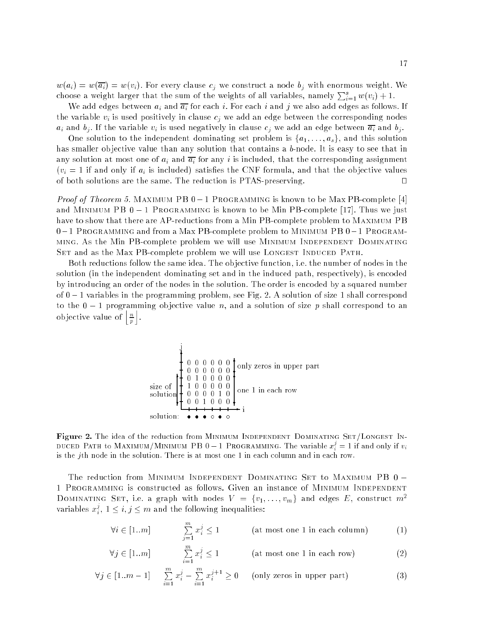$w(a_i) = w(\overline{a_i}) = w(v_i)$ . For every clause  $c_j$  we construct a node  $b_j$  with enormous weight. We choose a weight larger that the sum of the weights of all variables, namely  $\sum_{i=1}^{s} w(v_i) + 1$ .

We add edges between  $a_i$  and  $\overline{a_i}$  for each i. For each i and j we also add edges as follows. If the variable  $v_i$  is used positively in clause  $c_i$  we add an edge between the corresponding nodes  $a_i$  and  $b_j$ . If the variable  $v_i$  is used negatively in clause  $c_j$  we add an edge between  $\overline{a_i}$  and  $b_j$ .

One solution to the independent dominating set problem is  $\{a_1, \ldots, a_s\}$ , and this solution has smaller objective value than any solution that contains a b-node. It is easy to see that in any solution at most one of  $a_i$  and  $\overline{a_i}$  for any i is included, that the corresponding assignment  $(v_i = 1$  if and only if  $a_i$  is included) satisfies the CNF formula, and that the objective values of both solutions are the same. The reduction is PTAS-preserving.  $\Box$ 

*Proof of Theorem 5.* MAXIMUM PB  $0 - 1$  PROGRAMMING is known to be Max PB-complete [4] and MINIMUM PB  $0 - 1$  Programming is known to be Min PB-complete [17]. Thus we just have to show that there are AP-reductions from a Min PB-complete problem to Maximum PB  $0-1$  Programming and from a Max PB-complete problem to MINIMUM PB  $0-1$  Programming. As the Min PB-complete problem we will use Minimum Independent Dominating SET and as the Max PB-complete problem we will use LONGEST INDUCED PATH.

Both reductions follow the same idea. The ob jective function, i.e. the number of nodes in the solution (in the independent dominating set and in the induced path, respectively), is encoded by introducing an order of the nodes in the solution. The order is encoded by a squared number of  $0-1$  variables in the programming problem, see Fig. 2. A solution of size 1 shall correspond to the  $0 - 1$  programming objective value n, and a solution of size p shall correspond to an objective value of  $\frac{n}{2}$  $p$  | ka kuning ang kanang sa pag-agamang pang-agamang na mang-agamang na mang-agamang na mang-agamang na mang-agama



Figure 2. The idea of the reduction from MINIMUM INDEPENDENT DOMINATING SET/LONGEST IN-DUCED PATH to MAXIMUM/MINIMUM PB  $0-1$  PROGRAMMING. The variable  $x_i^\prime=1$  if and only if  $v_i$ is the jth node in the solution. There is at most one 1 in each column and in each row.

The reduction from MINIMUM INDEPENDENT DOMINATING SET to MAXIMUM PB 0-1 Programming is constructed as follows. Given an instance of Minimum Independent DOMINATING SET, i.e. a graph with nodes  $V = \{v_1, \ldots, v_m\}$  and edges E, construct  $m^2$ variables  $x_i^*$ ,  $1 \leq i, \, j \leq m$  and the following inequalities:

> $\forall i \in [1...m]$   $\sum x_i^j$ j=1  $\left($ at most one 1 in each column)  $\left(1\right)$

$$
\forall j \in [1..m] \qquad \sum_{i=1}^{m} x_i^j \le 1 \qquad \qquad \text{(at most one 1 in each row)} \tag{2}
$$

$$
\forall j \in [1..m-1] \qquad \sum_{i=1}^{m} x_i^j - \sum_{i=1}^{m} x_i^{j+1} \ge 0 \qquad \text{(only zeros in upper part)} \tag{3}
$$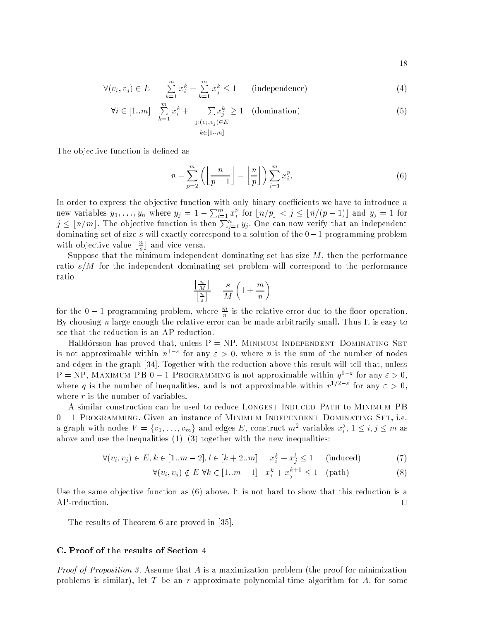$$
\forall (v_i, v_j) \in E \qquad \sum_{k=1}^{m} x_i^k + \sum_{k=1}^{m} x_j^k \le 1 \qquad \text{(independence)} \tag{4}
$$

$$
\forall i \in [1..m] \quad \sum_{k=1}^{m} x_i^k + \sum_{\substack{j:(v_i,v_j) \in E \\ k \in [1..m]}} x_j^k \ge 1 \quad \text{(domination)} \tag{5}
$$

The objective function is defined as

$$
n - \sum_{p=2}^{m} \left( \left\lfloor \frac{n}{p-1} \right\rfloor - \left\lfloor \frac{n}{p} \right\rfloor \right) \sum_{i=1}^{m} x_i^p. \tag{6}
$$

In order to express the objective function with only binary coefficients we have to introduce  $n$ new variables  $y_1,\ldots,y_n$  where  $y_j=1-\sum_{i=1}^mx_i^p$  for  $\lfloor n/p\rfloor < j\leq \lfloor n/(p-1)\rfloor$  and  $y_j=1$  for  $j \leq \lfloor n/m \rfloor$ . The objective function is then  $\sum_{i=1}^{n} y_i$ . One can now verify that an independent dominating set of size s will exactly correspond to a solution of the  $0-1$  programming problem with objective value  $\lfloor \frac{n}{2} \rfloor$ 

Suppose that the minimum independent dominating set has size  $M$ , then the performance ratio  $s/M$  for the independent dominating set problem will correspond to the performance ratio  $\mathbf{r}$ . .

$$
\frac{\left\lfloor \frac{n}{M} \right\rfloor}{\left\lfloor \frac{n}{s} \right\rfloor} = \frac{s}{M} \left( 1 \pm \frac{m}{n} \right)
$$

for the  $0 - 1$  programming problem, where  $\frac{1}{n}$  is the relative error due to the floor operation. By choosing  $n$  large enough the relative error can be made arbitrarily small. Thus It is easy to see that the reduction is an AP-reduction.

Halldórsson has proved that, unless  $P = NP$ , MINIMUM INDEPENDENT DOMINATING SET is not approximable within  $n^+$  for any  $\varepsilon > 0,$  where  $n$  is the sum of the number of nodes and edges in the graph [34]. Together with the reduction above this result will tell that, unless  $\Gamma \equiv \text{NF}$ , maximum FB  $0 = 1$  Programming is not approximable within  $q^*$  = tor any  $\varepsilon > 0$ , where q is the number of inequalities, and is not approximable within  $r^{-\gamma-1}$  for any  $\varepsilon > 0,$ where  $r$  is the number of variables.

A similar construction can be used to reduce LONGEST INDUCED PATH to MINIMUM PB 0 1 Programming. Given an instance of Minimum Independent Dominating Set, i.e. a graph with nodes  $V = \{v_1, \ldots, v_m\}$  and edges  $E$ , construct  $m^2$  variables  $x_i^{\circ}, \ 1 \leq i,j \leq m$  as above and use the inequalities  $(1)$ – $(3)$  together with the new inequalities:

$$
\forall (v_i, v_j) \in E, k \in [1..m-2], l \in [k+2..m] \quad x_i^k + x_j^l \le 1 \quad \text{(induced)} \tag{7}
$$

$$
\forall (v_i, v_j) \notin E \,\forall k \in [1..m-1] \quad x_i^k + x_j^{k+1} \le 1 \quad (\text{path})
$$
 (8)

Use the same objective function as  $(6)$  above. It is not hard to show that this reduction is a  $AP$ -reduction.  $\Box$ 

The results of Theorem 6 are proved in [35].

#### C. Proof of the results of Section 4

Proof of Proposition 3. Assume that A is a maximization problem (the proof for minimization problems is similar), let T be an r-approximate polynomial-time algorithm for  $A$ , for some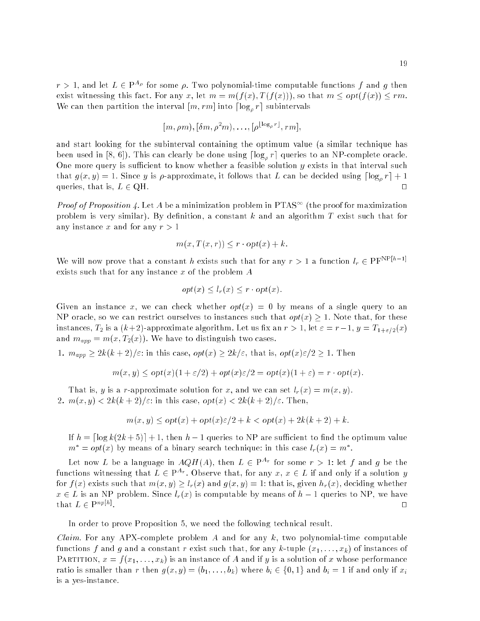$r > 1$ , and let  $L \in \mathbb{P}^{\pi_{\rho}}$  for some  $\rho$ . Two polynomial-time computable functions  $f$  and  $q$  then exist witnessing this fact. For any x, let  $m = m(f(x), T(f(x)))$ , so that  $m \leq opt(f(x)) \leq rm$ . We can then partition the interval  $[m, rm]$  into  $\lceil \log_\rho r \rceil$  subintervals

$$
[m, \rho m), [\delta m, \rho^2 m), \ldots, [\rho^{\lfloor \log_\rho r \rfloor}, r m],
$$

and start looking for the subinterval containing the optimum value (a similar technique has been used in [8, 6]). This can clearly be done using  $\lceil \log_\rho r \rceil$  queries to an NP-complete oracle. One more query is sufficient to know whether a feasible solution  $y$  exists in that interval such that  $g(x, y) = 1$ . Since y is  $\rho$ -approximate, it follows that L can be decided using  $\lceil \log_{\rho} r \rceil + 1$ queries, that is,  $L \in \text{QH}$ .

*Proof of Proposition 4*. Let A be a minimization problem in PTAS<sup>--</sup> (the proof for maximization problem is very similar). By definition, a constant  $k$  and an algorithm  $T$  exist such that for any instance x and for any  $r > 1$ 

$$
m(x, T(x,r)) \le r \cdot \mathrm{opt}(x) + k.
$$

We will now prove that a constant h exists such that for any  $r > 1$  a function  $l_r \in \text{PF}^{\text{NP}[h-1]}$ exists such that for any instance  $x$  of the problem  $A$ 

$$
opt(x) \le l_r(x) \le r \cdot opt(x).
$$

Given an instance x, we can check whether  $opt(x) = 0$  by means of a single query to an NP oracle, so we can restrict ourselves to instances such that  $opt(x) \geq 1$ . Note that, for these instances,  $T_2$  is a  $(k+2)$ -approximate algorithm. Let us fix an  $r > 1$ , let  $\varepsilon = r-1$ ,  $y = T_{1+\varepsilon/2}(x)$ and  $m_{app} = m(x, T_2(x))$ . We have to distinguish two cases.

1.  $m_{app} \geq 2k(k+2)/\varepsilon$ : in this case,  $opt(x) \geq 2k/\varepsilon$ , that is,  $opt(x)\varepsilon/2 \geq 1$ . Then

$$
m(x, y) \le opt(x)(1 + \varepsilon/2) + opt(x)\varepsilon/2 = opt(x)(1 + \varepsilon) = r \cdot opt(x).
$$

That is, y is a r-approximate solution for x, and we can set  $l_r(x) = m(x, y)$ . 2.  $m(x, y) < 2k(k+2)/\varepsilon$ : in this case,  $opt(x) < 2k(k+2)/\varepsilon$ . Then,

$$
m(x,y) \leq opt(x) + opt(x)\varepsilon/2 + k < opt(x) + 2k(k+2) + k.
$$

If  $h = \left[\log k(2k+5)\right] + 1$ , then  $h-1$  queries to NP are sufficient to find the optimum value  $m_{\parallel} = op_l(x)$  by means of a binary search technique: in this case  $i_r(x) = m$ .

Let now L be a language in  $A Q H (A)$ , then  $L \in \mathbb{P}^{Ar}$  for some  $r > 1$ : let f and g be the functions witnessing that  $L \in P^{\mathrm{a}_r}.$  Observe that, for any  $x, \, x \in L$  if and only if a solution  $\,y$ for  $f(x)$  exists such that  $m(x, y) \ge l_r(x)$  and  $g(x, y) = 1$ : that is, given  $h_r(x)$ , deciding whether  $x \in L$  is an NP problem. Since  $l_r(x)$  is computable by means of  $h-1$  queries to NP, we have that  $L \in \mathbb{P}^{np[h]}$ .

In order to prove Proposition 5, we need the following technical result.

*Claim.* For any APX-complete problem A and for any k, two polynomial-time computable functions f and g and a constant r exist such that, for any k-tuple  $(x_1, \ldots, x_k)$  of instances of PARTITION,  $x = f(x_1, \ldots, x_k)$  is an instance of A and if y is a solution of x whose performance ratio is smaller than r then  $g(x, y) = (b_1, \ldots, b_k)$  where  $b_i \in \{0, 1\}$  and  $b_i = 1$  if and only if  $x_i$ is a yes-instance.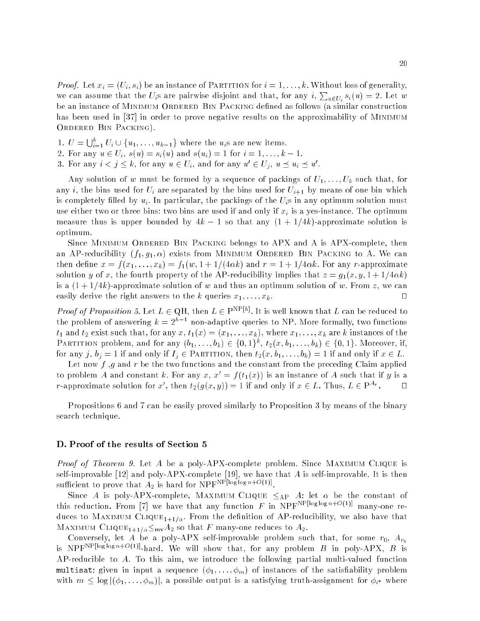*Proof.* Let  $x_i = (U_i, s_i)$  be an instance of PARTITION for  $i = 1, \ldots, k$ . Without loss of generality, we can assume that the  $U_i$ s are pairwise disjoint and that, for any  $i$ ,  $\sum_{u \in U_i} s_i(u) = 2$ . Let w be an instance of MINIMUM ORDERED BIN PACKING defined as follows (a similar construction has been used in [37] in order to prove negative results on the approximability of MINIMUM Ordered Bin Packing).

1.  $U = \bigcup_{i=1}^k U_i \cup \{u_1, \ldots, u_{k-1}\}\$  where the  $u_i$ s are new items.

- 2. For any  $u \in U_i$ ,  $s(u) = s_i(u)$  and  $s(u_i) = 1$  for  $i = 1, ..., k 1$ .
- 3. For any  $i < j \leq \kappa$ , for any  $u \in U_i$ , and for any  $u_1 \in U_i$ ,  $u \leq u_i \leq u_1$ .

Any solution of w must be formed by a sequence of packings of  $U_1, \ldots, U_k$  such that, for any i, the bins used for  $U_i$  are separated by the bins used for  $U_{i+1}$  by means of one bin which is completely filled by  $u_i$ . In particular, the packings of the  $U_i$ s in any optimum solution must use either two or three bins: two bins are used if and only if  $x_i$  is a yes-instance. The optimum measure thus is upper bounded by  $4k - 1$  so that any  $(1 + 1/4k)$ -approximate solution is optimum.

Since Minimum Ordered Bin Packing belongs to APX and A is APX-complete, then an AP-reducibility  $(f_1, g_1, \alpha)$  exists from MINIMUM ORDERED BIN PACKING to A. We can then define  $x = f(x_1, \ldots, x_k) = f_1(w, 1 + 1/(4\alpha k)$  and  $r = 1 + 1/4\alpha k$ . For any r-approximate solution y of x, the fourth property of the AP-reducibility implies that  $z = g_1(x, y, 1 + 1/4\alpha k)$ is a  $(1+1/4k)$ -approximate solution of w and thus an optimum solution of w. From z, we can easily derive the right answers to the k queries  $x_1, \ldots, x_k$ .

*Proof of Proposition 5.* Let  $L \in Q_H$ , then  $L \in \Gamma$  PNP is well known that L can be reduced to the problem of answering  $\kappa = z^{n+1}$  non-adaptive queries to NP. More formally, two functions  $t_1$  and  $t_2$  exist such that, for any  $x, t_1(x) = (x_1, \ldots, x_k)$ , where  $x_1, \ldots, x_k$  are k instances of the PARTITION problem, and for any  $\{0_1,\ldots,0_k\} \in \{0,1\}$  ,  $\iota_2(x,0_1,\ldots,0_k) \in \{0,1\}$ . Moreover, n, for any j,  $b_i = 1$  if and only if  $I_i \in \text{PARTITION}$ , then  $t_2(x, b_1, \ldots, b_k) = 1$  if and only if  $x \in L$ .

Let now f, g and r be the two functions and the constant from the preceding Claim applied to problem A and constant k. For any  $x, x' = f (t_1(x))$  is an instance of A such that if y is a  $\Box$ r-approximate solution for x', then  $t_2(g(x,y)) = 1$  if and only if  $x \in L$ . Thus,  $L \in P^{Ar}$ 

Propositions 6 and 7 can be easily proved similarly to Proposition 3 by means of the binary search technique.

#### D. Proof of the results of Section 5

*Proof of Theorem 9.* Let A be a poly-APX-complete problem. Since MAXIMUM CLIQUE is self-improvable [12] and poly-APX-complete [19], we have that  $A$  is self-improvable. It is then sumcient to prove that  $A_2$  is hard for NPP  $\longrightarrow$   $\rightarrow$   $\rightarrow$   $\rightarrow$   $\rightarrow$   $\rightarrow$ 

Since A is poly-APX-complete, MAXIMUM CLIQUE  $\leq_{AP}$  A: let  $\alpha$  be the constant of this reduction. From [7] we have that any function F in  $NPF^{NP[log log n + O(1)]}$  many-one reduces to MAXIMUM CLIQUE<sub>1+1/ $\alpha$ </sub>. From the definition of AP-reducibility, we also have that MAXIMUM CLIQUE<sub>1+1/ $\alpha \leq_{\text{mv}} A_2$  so that F many-one reduces to  $A_2$ .</sub>

Conversely, let A be a poly-APX self-improvable problem such that, for some  $r_0$ ,  $A_{r_0}$ is NPF<sup>NP[loglogn+O(1)]</sup>-hard. We will show that, for any problem B in poly-APX, B is AP-reducible to A. To this aim, we introduce the following partial multi-valued function multisat: given in input a sequence  $(\phi_1, \ldots, \phi_m)$  of instances of the satisfiability problem with  $m \leq \log |(\phi_1, \ldots, \phi_m)|$ , a possible output is a satisfying truth-assignment for  $\phi_{i^*}$  where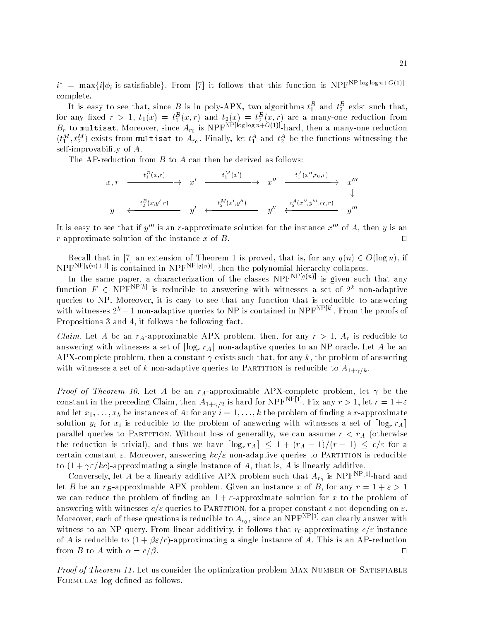$\imath$  = max{ $\imath | \varphi_i$  is satisfiable}. From [7] it follows that this function is NPP (1)  $\varphi$  of (1)]. complete.

It is easy to see that, since  $B$  is in poly-APA, two algorithms  $t_1$  and  $t_2$  $2$  exists such that, the such that, the such that, the such that, the such that, the such that, the such that, the such that, the such that, the such that, the such that, the such that, the such that, the such that, the for any fixed  $r > 1$ ,  $t_1(x) = t_1^-(x,r)$  and  $t_2(x) = t_2^-(x,r)$  are a many-one reduction from  $B_r$  to multisat. Moreover, since  $A_{r_0}$  is NPF is the second contract, then a many-one reduction  $(\iota_1$  ,  $\iota_2$  ) exists from multisat to  $A_{r_0}.$  Finally, let  $\iota_1$  and  $\iota_2$  be the functions withessing the self-improvability of A.

The AP-reduction from  $B$  to  $A$  can then be derived as follows:

$$
x,r \xrightarrow{\quad t_1^B(x,r)} x' \xrightarrow{\quad t_1^M(x')} x'' \xrightarrow{\quad t_1^M(x',r)} x'' \xrightarrow{\quad t_1^M(x'',r_0,r)} x''''
$$
  

$$
y \xleftarrow{\quad t_2^B(x,y',r)} y' \xleftarrow{\quad t_2^M(x',y'')} y'' \xleftarrow{\quad t_2^A(x'',y''',r_0,r)} y'''
$$

It is easy to see that if  $y'''$  is an r-approximate solution for the instance  $x'''$  of A, then y is an r-approximate solution of the instance x of B.

Recall that in [7] an extension of Theorem 1 is proved, that is, for any  $q(n) \in O(\log n)$ , if  $NPF^{NP[q(n)+1]}$  is contained in  $NPF^{NP[q(n)]}$ , then the polynomial hierarchy collapses.

In the same paper, a characterization of the classes  $NPF^{NP[q(n)]}$  is given such that any runction  $F$   $\in$  NPF  $^{\circ}$  is reducible to answering with witnesses a set of 2\* non-adaptive queries to NP. Moreover, it is easy to see that any function that is reducible to answering with witnesses  $2^{\circ} - 1$  non-adaptive queries to NP is contained in NPT  $\hspace{0.1cm}$  . From the proofs of Propositions 3 and 4, it follows the following fact.

*Claim.* Let A be an  $r_A$ -approximable APX problem, then, for any  $r > 1$ ,  $A_r$  is reducible to answering with witnesses a set of  $\lceil \log_r r_A \rceil$  non-adaptive queries to an NP oracle. Let A be an APX-complete problem, then a constant  $\gamma$  exists such that, for any k, the problem of answering with witnesses a set of k non-adaptive queries to PARTITION is reducible to  $A_{1+\gamma/k}$ .

*Proof of Theorem 10.* Let A be an  $r_A$ -approximable APX-complete problem, let  $\gamma$  be the constant in the preceding Claim, then  $A_{1+\gamma/2}$  is hard for NPF<sup>NP[1]</sup>. Fix any  $r > 1$ , let  $r = 1+\varepsilon$ and let  $x_1, \ldots, x_k$  be instances of A: for any  $i = 1, \ldots, k$  the problem of finding a r-approximate solution  $y_i$  for  $x_i$  is reducible to the problem of answering with witnesses a set of  $\lceil \log_r r_A \rceil$ parallel queries to PARTITION. Without loss of generality, we can assume  $r < r_A$  (otherwise the reduction is trivial), and thus we have  $\lceil \log_r r_A \rceil \leq 1 + (r_A - 1)/(r - 1) \leq c/\varepsilon$  for a certain constant  $\varepsilon$ . Moreover, answering  $kc/\varepsilon$  non-adaptive queries to PARTITION is reducible to  $(1 + \gamma \varepsilon / k \varepsilon)$ -approximating a single instance of A, that is, A is linearly additive.

Conversely, let A be a linearly additive APA problem such that  $A_{r_0}$  is NPP  $\rightarrow$  -hard and let B be an r<sub>B</sub>-approximable APX problem. Given an instance x of B, for any  $r = 1 + \varepsilon > 1$ we can reduce the problem of finding an  $1+\varepsilon$ -approximate solution for x to the problem of answering with witnesses  $c/\varepsilon$  queries to PARTITION, for a proper constant c not depending on  $\varepsilon$ . Moreover, each of these questions is reducible to  $A_{r_0},$  since an NPF  $\longrightarrow$  can clearly answer with witness to an NP query. From linear additivity, it follows that  $r_0$ -approximating  $c/\varepsilon$  instance of A is reducible to  $(1 + \beta \varepsilon/c)$ -approximating a single instance of A. This is an AP-reduction from B to A with  $\alpha = c/\beta$ .  $\Box$ 

Proof of Theorem 11. Let us consider the optimization problem MAX NUMBER OF SATISFIABLE FORMULAS-log defined as follows.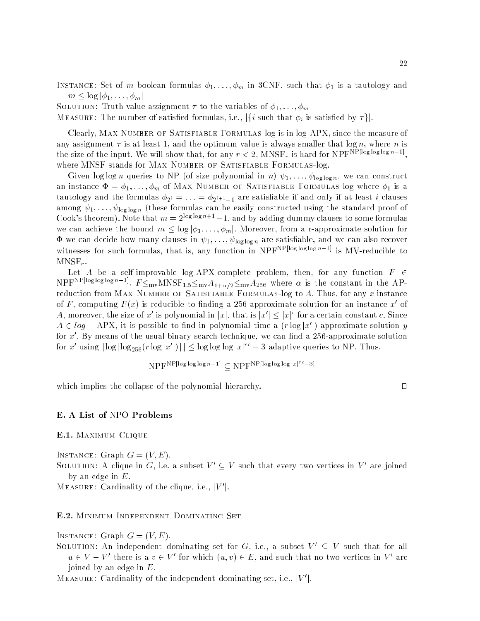INSTANCE: Set of m boolean formulas  $\phi_1, \ldots, \phi_m$  in 3CNF, such that  $\phi_1$  is a tautology and  $m \leq \log |\phi_1, \ldots, \phi_m|$ 

SOLUTION: Truth-value assignment  $\tau$  to the variables of  $\phi_1, \ldots, \phi_m$ 

MEASURE: The number of satisfied formulas, i.e.,  $\{i \text{ such that } \phi_i \text{ is satisfied by } \tau\}.$ 

Clearly, Max Number of Satisfiable Formulas-log is in log-APX, since the measure of any assignment  $\tau$  is at least 1, and the optimum value is always smaller that  $\log n$ , where n is the size of the input. We will show that, for any  $r < 2$ , MNSF<sub>r</sub> is hard for NPF<sup>-12</sup> log log in  $\eta$ , where MNSF stands for MAX NUMBER OF SATISFIABLE FORMULAS-log.

Given log log n queries to NP (of size polynomial in n)  $\psi_1, \ldots, \psi_{\log \log n}$ , we can construct an instance  $\Phi = \phi_1, \ldots, \phi_m$  of MAX NUMBER OF SATISFIABLE FORMULAS-log where  $\phi_1$  is a tautology and the formulas  $\phi_{2^i} = \ldots = \phi_{2^{i+1}-1}$  are satisfiable if and only if at least i clauses among  $\psi_1, \ldots, \psi_{\log \log n}$  (these formulas can be easily constructed using the standard proof of Cook's theorem). Note that  $m = 2^{\log \log n + 1} - 1$ , and by adding dummy clauses to some formulas we can achieve the bound  $m \leq \log |\phi_1, \ldots, \phi_m|$ . Moreover, from a r-approximate solution for  $\Phi$  we can decide how many clauses in  $\psi_1,\ldots,\psi_{\log\log n}$  are satisfiable, and we can also recover witnesses for such formulas, that is, any function in  $NPF^{NP[log log log n-1]}$  is MV-reducible to  $MNSF_r$ .

Let A be a self-improvable log-APX-complete problem, then, for any function  $F \in$ NPF<sup>22</sup> (100 second 1),  $F \leq_{\text{mv}} M \text{NDF1.5} \leq_{\text{mv}} A_{1+\alpha/2} \leq_{\text{mv}} A_{256}$  where  $\alpha$  is the constant in the APreduction from MAX NUMBER OF SATISFIABLE FORMULAS-log to  $A$ . Thus, for any  $x$  instance of F, computing  $F(x)$  is reducible to initially a 250-approximate solution for an instance  $x$  of A, moreover, the size of  $x$  is polynomial in  $|x|$ , that is  $|x| \leq |x|^\gamma$  for a certain constant  $c$ . Since  $A\in \mathit{log}-A\mathit{\Gamma}\Lambda,$  it is possible to find in polynomial time a (r log  $|x|$ )-approximate solution  $\eta$ for  $x$  . By means of the usual binary search technique, we can find a 256-approximate solution for x using  $\lfloor \log \rfloor \log_{256}(r \log |x|) \rfloor \rfloor \leq \log \log \log |x|^{1/2} - 3$  adaptive queries to NP. Thus,

$$
NPF^{NP[log log log n-1]} \subset NPF^{NP[log log log |x|^{rc}-3]}
$$

which implies the collapse of the polynomial hierarchy.

$$
\Box
$$

# E. A List of NPO Problems

E.1. Maximum Clique

INSTANCE: Graph  $G = (V, E)$ . SOLUTION: A chique in G, i.e. a subset  $V \subseteq V$  such that every two vertices in V are joined by an edge in  $E$ .

 $MEEASURE:$  Cardinality of the clique, i.e.,  $|V|$ .

#### E.2. Minimum Independent Dominating Set

INSTANCE: Graph  $G = (V, E)$ .

SOLUTION: An independent dominating set for G, i.e., a subset  $V' \subset V$  such that for all  $u \in V - V$  there is a  $v \in V$  for which  $(u, v) \in E$ , and such that no two vertices in V are joined by an edge in  $E$ .

 $MEEASURE: Carannality of the independent dominating set, i.e.,  $|V|$ .$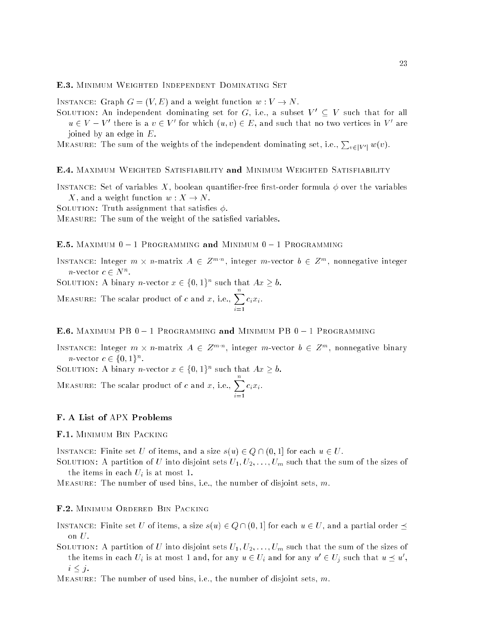#### E.3. Minimum Weighted Independent Dominating Set

INSTANCE: Graph  $G = (V, E)$  and a weight function  $w: V \to N$ .

SOLUTION: An independent dominating set for G, i.e., a subset  $V' \subseteq V$  such that for all  $u \in V - V$  there is a  $v \in V$  for which  $(u, v) \in E$ , and such that no two vertices in V are joined by an edge in  $E$ .

MEASURE: The sum of the weights of the independent dominating set, i.e.,  $\sum_{v \in |V'|} w(v)$ .

**E.4.** MAXIMUM WEIGHTED SATISFIABILITY and MINIMUM WEIGHTED SATISFIABILITY

INSTANCE: Set of variables X, boolean quantifier-free first-order formula  $\phi$  over the variables X, and a weight function  $w: X \to N$ .

SOLUTION: Truth assignment that satisfies  $\phi$ .

MEASURE: The sum of the weight of the satisfied variables.

#### **E.5.** MAXIMUM  $0 - 1$  Programming and Minimum  $0 - 1$  Programming

INSTANCE: Integer  $m \times n$ -matrix  $A \in \mathbb{Z}^{m \times n}$ , integer  $m$ -vector  $\theta \in \mathbb{Z}^{m}$ , nonnegative integer *n*-vector  $c \in N$ .

SOLUTION: A DINALY *n*-vector  $x \in \{0, 1\}$  such that  $Ax \geq 0$ .

MEASURE: The scalar product of c and x, i.e.,  $\sum c_i x_i$ .

**E.6.** MAXIMUM PB  $0 - 1$  Programming and Minimum PB  $0 - 1$  Programming

INSTANCE: Integer  $m \times n$ -matrix  $A \in Z^{m \times n}$ , integer  $m$ -vector  $b \in Z^{m \times n}$ , nonnegative binary  $n$ -vector  $c \in \{0, 1\}$ .

SOLUTION: A DINALY *n*-vector  $x \in \{0, 1\}^n$  such that  $Ax \geq 0$ .

MEASURE: The scalar product of c and x, i.e.,  $\sum c_i x_i$ .

#### F. A List of APX Problems

F.1. Minimum Bin Packing

INSTANCE: Finite set U of items, and a size  $s(u) \in Q \cap (0, 1]$  for each  $u \in U$ .

SOLUTION: A partition of U into disjoint sets  $U_1, U_2, \ldots, U_m$  such that the sum of the sizes of the items in each  $U_i$  is at most 1.

MEASURE: The number of used bins, i.e., the number of disjoint sets,  $m$ .

#### F.2. Minimum Ordered Bin Packing

- INSTANCE: Finite set U of items, a size  $s(u) \in Q \cap (0, 1]$  for each  $u \in U$ , and a partial order  $\preceq$ on  $U$ .
- SOLUTION: A partition of U into disjoint sets  $U_1, U_2, \ldots, U_m$  such that the sum of the sizes of the items in each  $U_i$  is at most 1 and, for any  $u \in U_i$  and for any  $u \in U_j$  such that  $u \preceq u$ ,  $i \leq j$ .

MEASURE: The number of used bins, i.e., the number of disjoint sets,  $m$ .